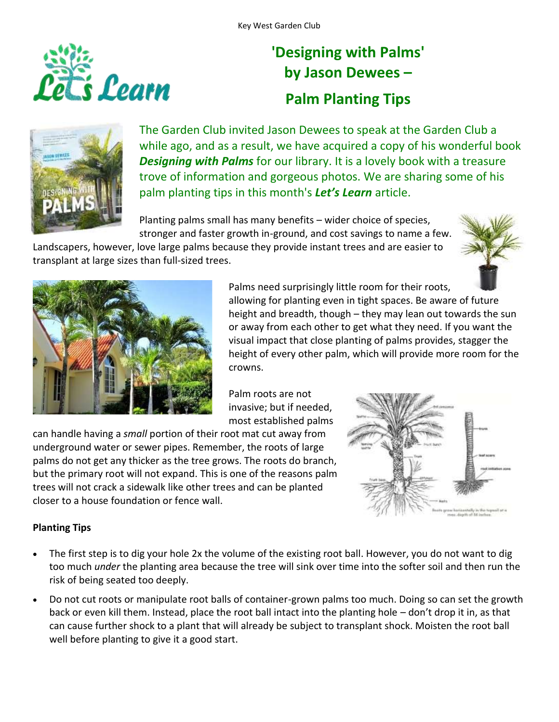

## **'Designing with Palms' by Jason Dewees – Palm Planting Tips**



The Garden Club invited Jason Dewees to speak at the Garden Club a while ago, and as a result, we have acquired a copy of his wonderful book *Designing with Palms* for our library. It is a lovely book with a treasure trove of information and gorgeous photos. We are sharing some of his palm planting tips in this month's *Let's Learn* article.

Planting palms small has many benefits – wider choice of species, stronger and faster growth in-ground, and cost savings to name a few.

Landscapers, however, love large palms because they provide instant trees and are easier to transplant at large sizes than full-sized trees.





Palms need surprisingly little room for their roots, allowing for planting even in tight spaces. Be aware of future height and breadth, though – they may lean out towards the sun or away from each other to get what they need. If you want the visual impact that close planting of palms provides, stagger the height of every other palm, which will provide more room for the crowns.

Palm roots are not invasive; but if needed, most established palms

can handle having a *small* portion of their root mat cut away from underground water or sewer pipes. Remember, the roots of large palms do not get any thicker as the tree grows. The roots do branch, but the primary root will not expand. This is one of the reasons palm trees will not crack a sidewalk like other trees and can be planted closer to a house foundation or fence wall.



## **Planting Tips**

- The first step is to dig your hole 2x the volume of the existing root ball. However, you do not want to dig too much *under* the planting area because the tree will sink over time into the softer soil and then run the risk of being seated too deeply.
- Do not cut roots or manipulate root balls of container-grown palms too much. Doing so can set the growth back or even kill them. Instead, place the root ball intact into the planting hole – don't drop it in, as that can cause further shock to a plant that will already be subject to transplant shock. Moisten the root ball well before planting to give it a good start.